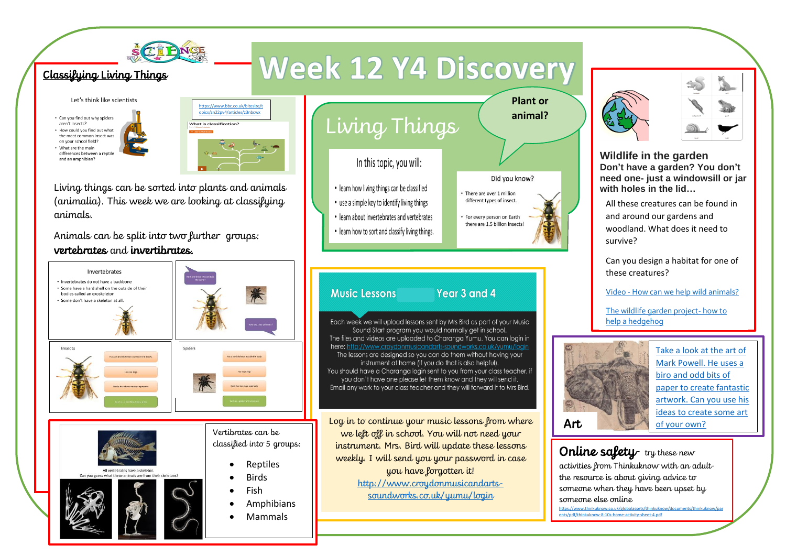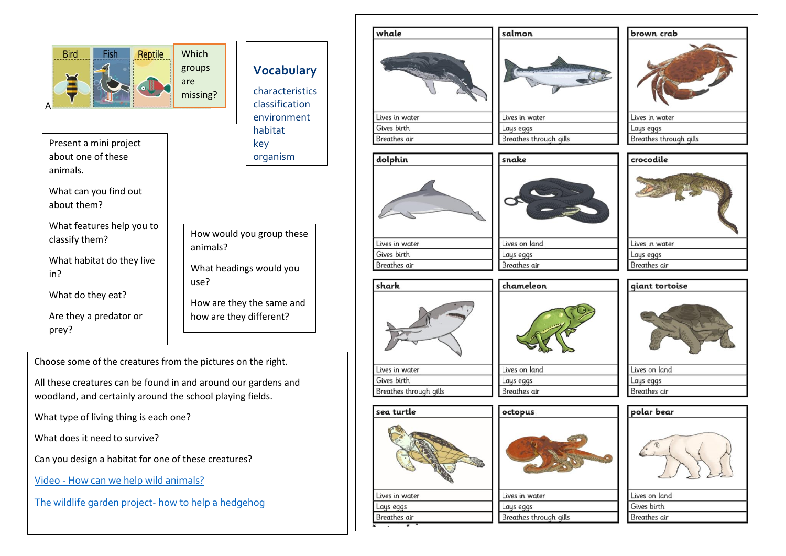

Choose some of the creatures from the pictures on the right.

All these creatures can be found in and around our gardens and woodland, and certainly around the school playing fields.

What type of living thing is each one?

What does it need to survive?

Can you design a habitat for one of these creatures?

Video - [How can we help wild animals?](https://www.youtube.com/watch?v=oLKrXggOlWk)

[The wildlife garden project-](https://www.youtube.com/watch?v=ZMVWPvhFrpw) how to help a hedgehog

| whale                  | salmon                 |                        |
|------------------------|------------------------|------------------------|
|                        |                        | brown crab             |
|                        |                        |                        |
| Lives in water         | Lives in water         | Lives in water         |
| Gives birth            | Lays eggs              | Lays eggs              |
| Breathes air           | Breathes through gills | Breathes through gills |
| dolphin                | snake                  | crocodile              |
|                        |                        |                        |
| Lives in water         | Lives on land          | Lives in water         |
| Gives birth            | Lays eggs              | Lays eggs              |
| Breathes air           | Breathes air           | Breathes air           |
| shark                  | chameleon              | giant tortoise         |
|                        |                        |                        |
| Lives in water         | Lives on land          | Lives on land          |
| Gives birth            | Lays eggs              | Lays eggs              |
| Breathes through gills | Breathes air           | Breathes air           |
| sea turtle             | octopus                | polar bear             |
|                        |                        | $\mathcal{L}$          |
|                        |                        |                        |

Lays eggs

Breathes through gills

Gives birth

Breathes air

Lays eggs

Breathes air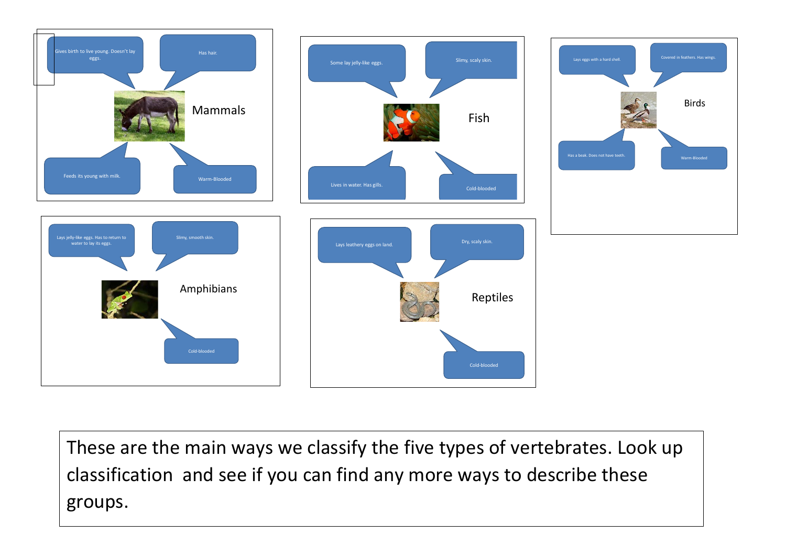

These are the main ways we classify the five types of vertebrates. Look up classification and see if you can find any more ways to describe these groups.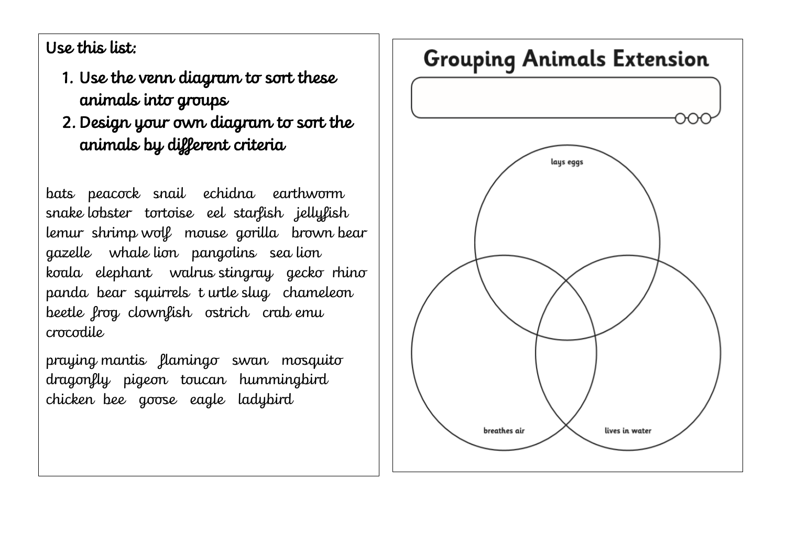Use this list:

- 1. Use the venn diagram to sort these animals into groups
- 2. Design your own diagram to sort the animals by different criteria

bats peacock snail echidna earthworm snake lobster tortoise eel starfish jellyfish lemur shrimp wolf mouse gorilla brown bear gazelle whale lion pangolins sea lion koala elephant walrus stingray gecko rhino panda bear squirrels t urtle slug chameleon beetle frog clownfish ostrich crab emu crocodile

praying mantis flamingo swan mosquito dragonfly pigeon toucan hummingbird chicken bee goose eagle ladybird